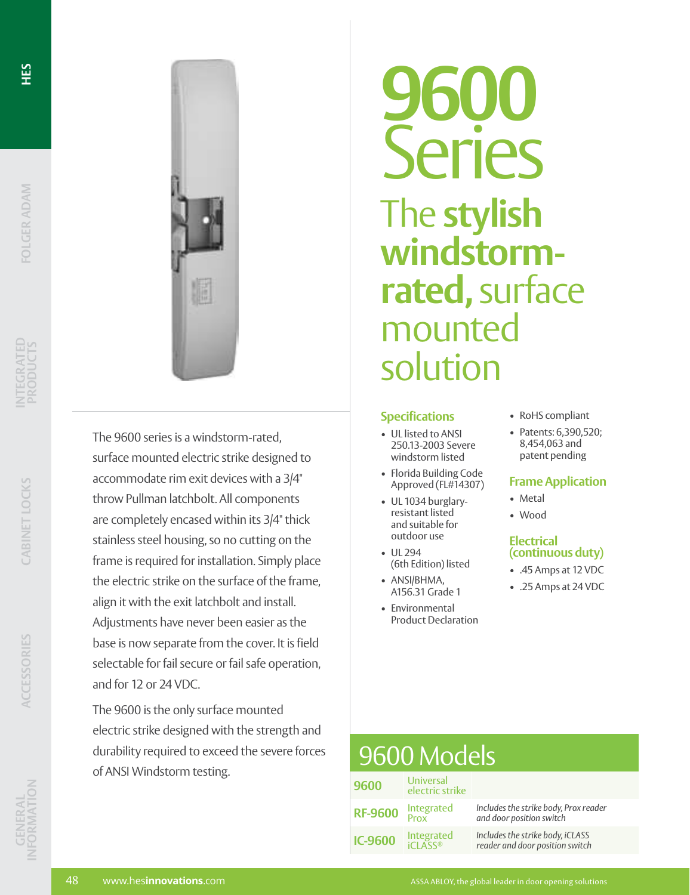



The 9600 series is a windstorm-rated, surface mounted electric strike designed to accommodate rim exit devices with a 3/4" throw Pullman latchbolt. All components are completely encased within its 3/4" thick stainless steel housing, so no cutting on the frame is required for installation. Simply place the electric strike on the surface of the frame, align it with the exit latchbolt and install. Adjustments have never been easier as the base is now separate from the cover. It is field selectable for fail secure or fail safe operation, and for 12 or 24 VDC.

The 9600 is the only surface mounted electric strike designed with the strength and durability required to exceed the severe forces of ANSI Windstorm testing.

**9600** Series The **stylish windstormrated,** surface mounted solution

## **Specifications**

- UL listed to ANSI 250.13-2003 Severe windstorm listed
- Florida Building Code Approved (FL#14307)
- UL 1034 burglaryresistant listed and suitable for outdoor use
- UL 294 (6th Edition) listed
- ANSI/BHMA, A156.31 Grade 1
- Environmental Product Declaration
- RoHS compliant
- Patents: 6,390,520; 8,454,063 and patent pending

## **Frame Application**

- Metal
- Wood

## **Electrical (continuous duty)**

- .45 Amps at 12 VDC
- .25 Amps at 24 VDC

#### **9600** Universal electric strike **RF-9600** Integrated Prox *Includes the strike body, Prox reader and door position switch* **IC-9600** Integrated iCLASS® *Includes the strike body, iCLASS reader and door position switch* 9600 Models